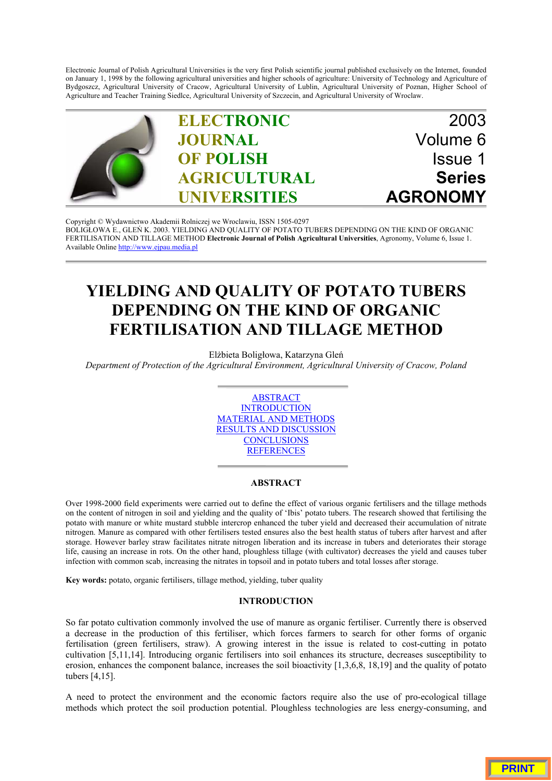Electronic Journal of Polish Agricultural Universities is the very first Polish scientific journal published exclusively on the Internet, founded on January 1, 1998 by the following agricultural universities and higher schools of agriculture: University of Technology and Agriculture of Bydgoszcz, Agricultural University of Cracow, Agricultural University of Lublin, Agricultural University of Poznan, Higher School of Agriculture and Teacher Training Siedlce, Agricultural University of Szczecin, and Agricultural University of Wroclaw.



Copyright © Wydawnictwo Akademii Rolniczej we Wroclawiu, ISSN 1505-0297 BOLIGŁOWA E., GLEŃ [K. 2003. YIELDING AND QUALITY OF POTATO TUBERS DEPENDING ON THE KIND OF ORGANIC](http://www.ejpau.media.pl) FERTILISATION AND TILLAGE METHOD **Electronic Journal of Polish Agricultural Universities**, Agronomy, Volume 6, Issue 1. Available Online http://www.ejpau.media.pl

# **YIELDING AND QUALITY OF POTATO TUBERS DEPENDING ON THE KIND OF ORGANIC FERTILISATION AND TILLAGE METHOD**

Elżbieta Boligłowa, Katarzyna Gleń

*Department of Protection of the Agricultural Environment, Agricultural University of Cracow, Poland*



### **ABSTRACT**

Over 1998-2000 field experiments were carried out to define the effect of various organic fertilisers and the tillage methods on the content of nitrogen in soil and yielding and the quality of 'Ibis' potato tubers. The research showed that fertilising the potato with manure or white mustard stubble intercrop enhanced the tuber yield and decreased their accumulation of nitrate nitrogen. Manure as compared with other fertilisers tested ensures also the best health status of tubers after harvest and after storage. However barley straw facilitates nitrate nitrogen liberation and its increase in tubers and deteriorates their storage life, causing an increase in rots. On the other hand, ploughless tillage (with cultivator) decreases the yield and causes tuber infection with common scab, increasing the nitrates in topsoil and in potato tubers and total losses after storage.

**Key words:** potato, organic fertilisers, tillage method, yielding, tuber quality

#### **INTRODUCTION**

So far potato cultivation commonly involved the use of manure as organic fertiliser. Currently there is observed a decrease in the production of this fertiliser, which forces farmers to search for other forms of organic fertilisation (green fertilisers, straw). A growing interest in the issue is related to cost-cutting in potato cultivation [5,11,14]. Introducing organic fertilisers into soil enhances its structure, decreases susceptibility to erosion, enhances the component balance, increases the soil bioactivity [1,3,6,8, 18,19] and the quality of potato tubers [4,15].

A need to protect the environment and the economic factors require also the use of pro-ecological tillage methods which protect the soil production potential. Ploughless technologies are less energy-consuming, and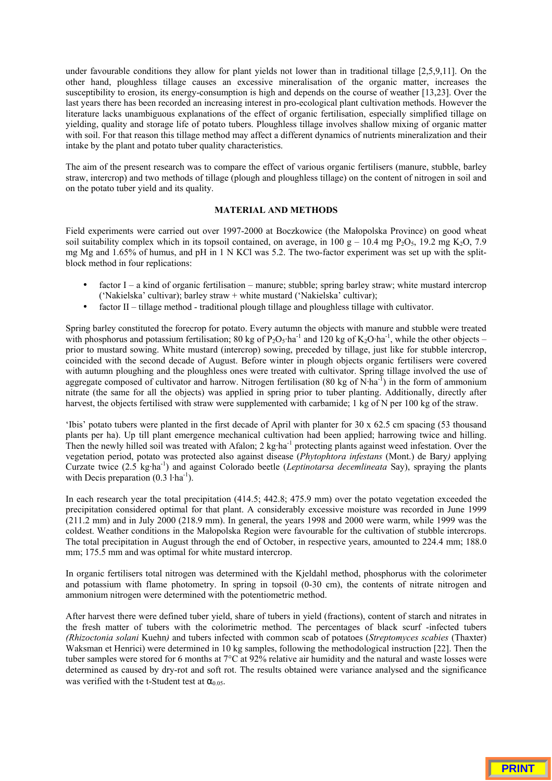under favourable conditions they allow for plant yields not lower than in traditional tillage [2,5,9,11]. On the other hand, ploughless tillage causes an excessive mineralisation of the organic matter, increases the susceptibility to erosion, its energy-consumption is high and depends on the course of weather [13,23]. Over the last years there has been recorded an increasing interest in pro-ecological plant cultivation methods. However the literature lacks unambiguous explanations of the effect of organic fertilisation, especially simplified tillage on yielding, quality and storage life of potato tubers. Ploughless tillage involves shallow mixing of organic matter with soil. For that reason this tillage method may affect a different dynamics of nutrients mineralization and their intake by the plant and potato tuber quality characteristics.

The aim of the present research was to compare the effect of various organic fertilisers (manure, stubble, barley straw, intercrop) and two methods of tillage (plough and ploughless tillage) on the content of nitrogen in soil and on the potato tuber yield and its quality.

# **MATERIAL AND METHODS**

Field experiments were carried out over 1997-2000 at Boczkowice (the Małopolska Province) on good wheat soil suitability complex which in its topsoil contained, on average, in 100 g – 10.4 mg P<sub>2</sub>O<sub>5</sub>, 19.2 mg K<sub>2</sub>O, 7.9 mg Mg and 1.65% of humus, and pH in 1 N KCl was 5.2. The two-factor experiment was set up with the splitblock method in four replications:

- factor I a kind of organic fertilisation manure; stubble; spring barley straw; white mustard intercrop ('Nakielska' cultivar); barley straw + white mustard ('Nakielska' cultivar);
- factor II tillage method traditional plough tillage and ploughless tillage with cultivator.

Spring barley constituted the forecrop for potato. Every autumn the objects with manure and stubble were treated with phosphorus and potassium fertilisation; 80 kg of  $P_2O_5$ ·ha<sup>-1</sup> and 120 kg of  $K_2O$ ·ha<sup>-1</sup>, while the other objects – prior to mustard sowing. White mustard (intercrop) sowing, preceded by tillage, just like for stubble intercrop, coincided with the second decade of August. Before winter in plough objects organic fertilisers were covered with autumn ploughing and the ploughless ones were treated with cultivator. Spring tillage involved the use of aggregate composed of cultivator and harrow. Nitrogen fertilisation (80 kg of N·ha<sup>-I</sup>) in the form of ammonium nitrate (the same for all the objects) was applied in spring prior to tuber planting. Additionally, directly after harvest, the objects fertilised with straw were supplemented with carbamide; 1 kg of N per 100 kg of the straw.

'Ibis' potato tubers were planted in the first decade of April with planter for 30 x 62.5 cm spacing (53 thousand plants per ha). Up till plant emergence mechanical cultivation had been applied; harrowing twice and hilling. Then the newly hilled soil was treated with Afalon; 2 kg·ha<sup>-1</sup> protecting plants against weed infestation. Over the vegetation period, potato was protected also against disease (*Phytophtora infestans* (Mont.) de Bary*)* applying Curzate twice (2.5 kg·ha-1) and against Colorado beetle (*Leptinotarsa decemlineata* Say), spraying the plants with Decis preparation  $(0.3 \text{ l} \cdot \text{ha}^{-1})$ .

In each research year the total precipitation (414.5; 442.8; 475.9 mm) over the potato vegetation exceeded the precipitation considered optimal for that plant. A considerably excessive moisture was recorded in June 1999 (211.2 mm) and in July 2000 (218.9 mm). In general, the years 1998 and 2000 were warm, while 1999 was the coldest. Weather conditions in the Małopolska Region were favourable for the cultivation of stubble intercrops. The total precipitation in August through the end of October, in respective years, amounted to 224.4 mm; 188.0 mm; 175.5 mm and was optimal for white mustard intercrop.

In organic fertilisers total nitrogen was determined with the Kjeldahl method, phosphorus with the colorimeter and potassium with flame photometry. In spring in topsoil (0-30 cm), the contents of nitrate nitrogen and ammonium nitrogen were determined with the potentiometric method.

After harvest there were defined tuber yield, share of tubers in yield (fractions), content of starch and nitrates in the fresh matter of tubers with the colorimetric method. The percentages of black scurf -infected tubers *(Rhizoctonia solani* Kuehn*)* and tubers infected with common scab of potatoes (*Streptomyces scabies* (Thaxter) Waksman et Henrici) were determined in 10 kg samples, following the methodological instruction [22]. Then the tuber samples were stored for 6 months at 7°C at 92% relative air humidity and the natural and waste losses were determined as caused by dry-rot and soft rot. The results obtained were variance analysed and the significance was verified with the t-Student test at  $\alpha_{0.05}$ .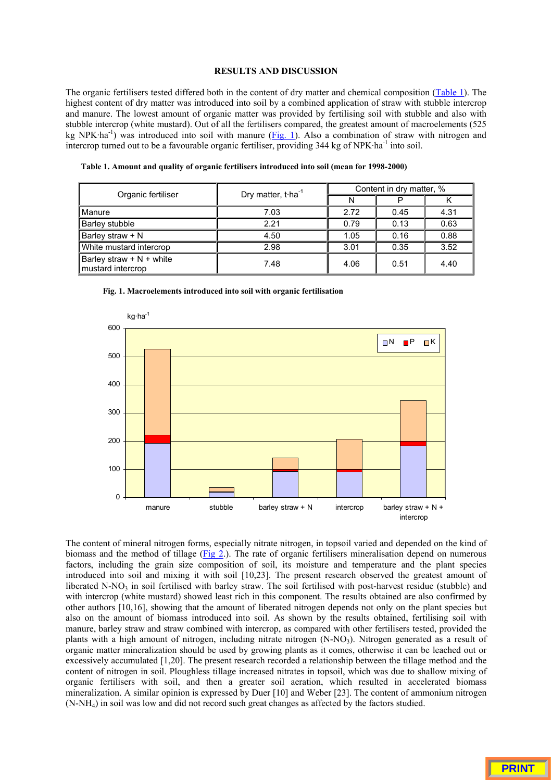# **RESULTS AND DISCUSSION**

The organic fertilisers tested differed both in the content of dry matter and chemical composition (Table 1). The highest content of dry matter was introduced into soil by a combined application of straw with stubble intercrop and manure. The lowest amount of organic matter was provided by fertilising soil with stubble and also with stubble intercrop (white mustard). Out of all the fertilisers compared, the greatest amount of macroelements (525 kg NPK·ha<sup>-1</sup>) was introduced into soil with manure (Fig. 1). Also a combination of straw with nitrogen and intercrop turned out to be a favourable organic fertiliser, providing 344 kg of NPK·ha<sup>-1</sup> into soil.

**Table 1. Amount and quality of organic fertilisers introduced into soil (mean for 1998-2000)**

| Organic fertiliser                              | Dry matter, t $\cdot$ ha <sup>-1</sup> | Content in dry matter, % |      |      |  |
|-------------------------------------------------|----------------------------------------|--------------------------|------|------|--|
|                                                 |                                        |                          |      |      |  |
| Manure                                          | 7.03                                   | 2.72                     | 0.45 | 4.31 |  |
| <b>Barley stubble</b>                           | 2.21                                   | 0.79                     | 0.13 | 0.63 |  |
| Barley straw + N                                | 4.50                                   | 1.05                     | 0.16 | 0.88 |  |
| White mustard intercrop                         | 2.98                                   | 3.01                     | 0.35 | 3.52 |  |
| Barley straw $+ N +$ white<br>mustard intercrop | 7.48                                   | 4.06                     | 0.51 | 4.40 |  |



**Fig. 1. Macroelements introduced into soil with organic fertilisation**

The content of mineral nitrogen forms, especially nitrate nitrogen, in topsoil varied and depended on the kind of biomass and the method of tillage (Fig 2.). The rate of organic fertilisers mineralisation depend on numerous factors, including the grain size composition of soil, its moisture and temperature and the plant species introduced into soil and mixing it with soil [10,23]. The present research observed the greatest amount of liberated N-NO<sub>3</sub> in soil fertilised with barley straw. The soil fertilised with post-harvest residue (stubble) and with intercrop (white mustard) showed least rich in this component. The results obtained are also confirmed by other authors [10,16], showing that the amount of liberated nitrogen depends not only on the plant species but also on the amount of biomass introduced into soil. As shown by the results obtained, fertilising soil with manure, barley straw and straw combined with intercrop, as compared with other fertilisers tested, provided the plants with a high amount of nitrogen, including nitrate nitrogen  $(N-NO<sub>3</sub>)$ . Nitrogen generated as a result of organic matter mineralization should be used by growing plants as it comes, otherwise it can be leached out or excessively accumulated [1,20]. The present research recorded a relationship between the tillage method and the content of nitrogen in soil. Ploughless tillage increased nitrates in topsoil, which was due to shallow mixing of organic fertilisers with soil, and then a greater soil aeration, which resulted in accelerated biomass mineralization. A similar opinion is expressed by Duer [10] and Weber [23]. The content of ammonium nitrogen (N-NH4) in soil was low and did not record such great changes as affected by the factors studied.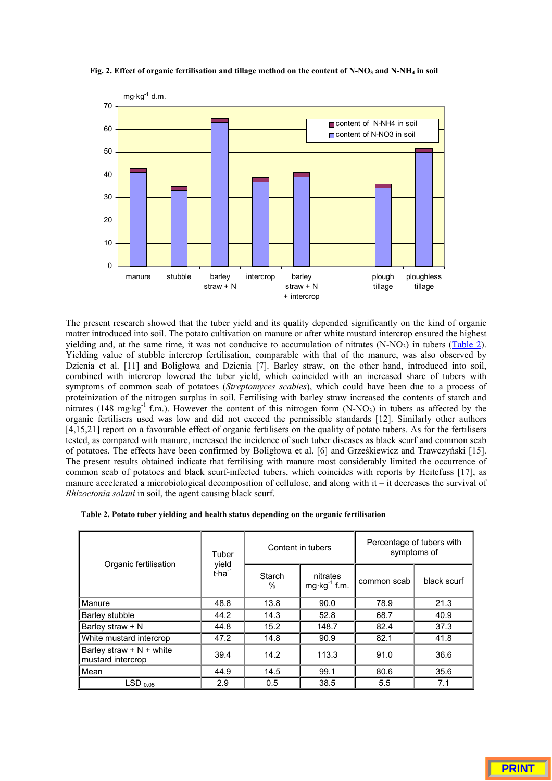

Fig. 2. Effect of organic fertilisation and tillage method on the content of N-NO<sub>3</sub> and N-NH<sub>4</sub> in soil

The present research showed that the tuber yield and its quality depended significantly on the kind of organic matter introduced into soil. The potato cultivation on manure or after white mustard intercrop ensured the highest yielding and, at the same time, it was not conducive to accumulation of nitrates  $(N-NO<sub>3</sub>)$  in tubers (Table 2). Yielding value of stubble intercrop fertilisation, comparable with that of the manure, was also observed by Dzienia et al. [11] and Boligłowa and Dzienia [7]. Barley straw, on the other hand, introduced into soil, combined with intercrop lowered the tuber yield, which coincided with an increased share of tubers with symptoms of common scab of potatoes (*Streptomyces scabies*), which could have been due to a process of proteinization of the nitrogen surplus in soil. Fertilising with barley straw increased the contents of starch and nitrates (148 mg·kg<sup>-1</sup> f.m.). However the content of this nitrogen form  $(N-NO<sub>3</sub>)$  in tubers as affected by the organic fertilisers used was low and did not exceed the permissible standards [12]. Similarly other authors [4,15,21] report on a favourable effect of organic fertilisers on the quality of potato tubers. As for the fertilisers tested, as compared with manure, increased the incidence of such tuber diseases as black scurf and common scab of potatoes. The effects have been confirmed by Boligłowa et al. [6] and Grześkiewicz and Trawczyński [15]. The present results obtained indicate that fertilising with manure most considerably limited the occurrence of common scab of potatoes and black scurf-infected tubers, which coincides with reports by Heitefuss [17], as manure accelerated a microbiological decomposition of cellulose, and along with it – it decreases the survival of *Rhizoctonia solani* in soil, the agent causing black scurf.

| Table 2. Potato tuber yielding and health status depending on the organic fertilisation |  |  |  |
|-----------------------------------------------------------------------------------------|--|--|--|
|-----------------------------------------------------------------------------------------|--|--|--|

| Organic fertilisation                           | Tuber<br>yield<br>$t$ -ha <sup>-1</sup> | Content in tubers |                                     | Percentage of tubers with<br>symptoms of |             |
|-------------------------------------------------|-----------------------------------------|-------------------|-------------------------------------|------------------------------------------|-------------|
|                                                 |                                         | Starch<br>$\%$    | nitrates<br>$mg \cdot kg^{-1}$ f.m. | common scab                              | black scurf |
| Manure                                          | 48.8                                    | 13.8              | 90.0                                | 78.9                                     | 21.3        |
| Barley stubble                                  | 44.2                                    | 14.3              | 52.8                                | 68.7                                     | 40.9        |
| Barley straw + N                                | 44.8                                    | 15.2              | 148.7                               | 82.4                                     | 37.3        |
| White mustard intercrop                         | 47.2                                    | 14.8              | 90.9                                | 82.1                                     | 41.8        |
| Barley straw $+ N +$ white<br>mustard intercrop | 39.4                                    | 14.2              | 113.3                               | 91.0                                     | 36.6        |
| Mean                                            | 44.9                                    | 14.5              | 99.1                                | 80.6                                     | 35.6        |
| $LSD_{0.05}$                                    | 2.9                                     | 0.5               | 38.5                                | 5.5                                      | 7.1         |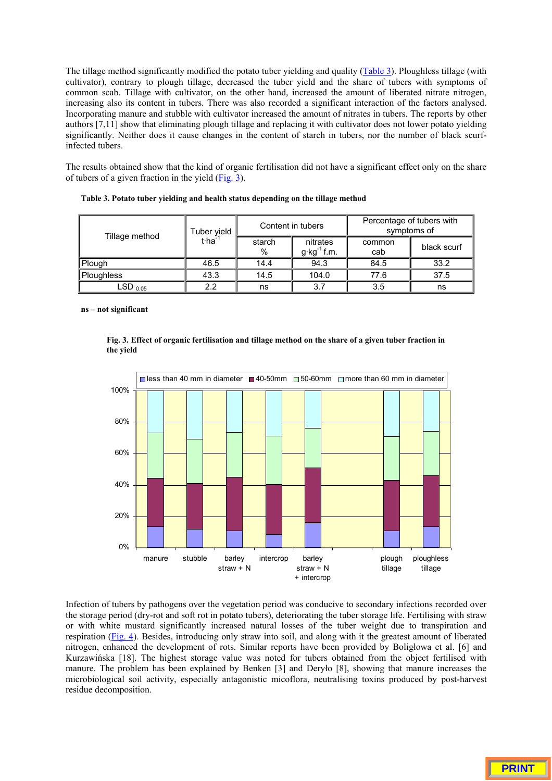The tillage method significantly modified the potato tuber yielding and quality (Table 3). Ploughless tillage (with cultivator), contrary to plough tillage, decreased the tuber yield and the share of tubers with symptoms of common scab. Tillage with cultivator, on the other hand, increased the amount of liberated nitrate nitrogen, increasing also its content in tubers. There was also recorded a significant interaction of the factors analysed. Incorporating manure and stubble with cultivator increased the amount of nitrates in tubers. The reports by other authors [7,11] show that eliminating plough tillage and replacing it with cultivator does not lower potato yielding significantly. Neither does it cause changes in the content of starch in tubers, nor the number of black scurfinfected tubers.

The results obtained show that the kind of organic fertilisation did not have a significant effect only on the share of tubers of a given fraction in the yield  $(Fig. 3)$ .

| Tillage method          | Tuber yield<br>$t$ ·ha <sup>-1</sup> | Content in tubers |                                    | Percentage of tubers with<br>symptoms of |             |
|-------------------------|--------------------------------------|-------------------|------------------------------------|------------------------------------------|-------------|
|                         |                                      | starch<br>$\%$    | nitrates<br>$g \cdot kg^{-1}$ f.m. | common<br>cab                            | black scurf |
| Plough                  | 46.5                                 | 14.4              | 94.3                               | 84.5                                     | 33.2        |
| Ploughless              | 43.3                                 | 14.5              | 104.0                              | 77.6                                     | 37.5        |
| $\mathsf{LSD}_{\ 0.05}$ | 2.2                                  | ns                | 3.7                                | 3.5                                      | ns          |

**Table 3. Potato tuber yielding and health status depending on the tillage method**

**ns – not significant**





Infection of tubers by pathogens over the vegetation period was conducive to secondary infections recorded over the storage period (dry-rot and soft rot in potato tubers), deteriorating the tuber storage life. Fertilising with straw or with white mustard significantly increased natural losses of the tuber weight due to transpiration and respiration (Fig. 4). Besides, introducing only straw into soil, and along with it the greatest amount of liberated nitrogen, enhanced the development of rots. Similar reports have been provided by Boligłowa et al. [6] and Kurzawińska [18]. The highest storage value was noted for tubers obtained from the object fertilised with manure. The problem has been explained by Benken [3] and Deryło [8], showing that manure increases the microbiological soil activity, especially antagonistic micoflora, neutralising toxins produced by post-harvest residue decomposition.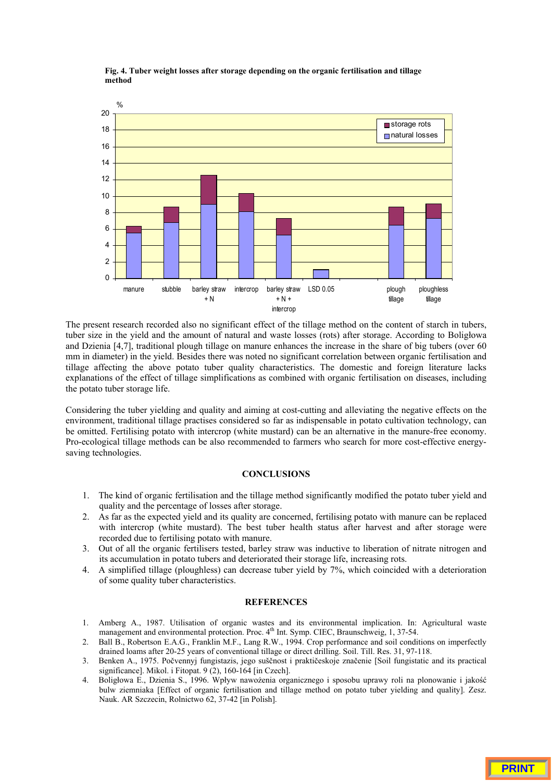**Fig. 4. Tuber weight losses after storage depending on the organic fertilisation and tillage method**



The present research recorded also no significant effect of the tillage method on the content of starch in tubers, tuber size in the yield and the amount of natural and waste losses (rots) after storage. According to Boligłowa and Dzienia [4,7], traditional plough tillage on manure enhances the increase in the share of big tubers (over 60 mm in diameter) in the yield. Besides there was noted no significant correlation between organic fertilisation and tillage affecting the above potato tuber quality characteristics. The domestic and foreign literature lacks explanations of the effect of tillage simplifications as combined with organic fertilisation on diseases, including the potato tuber storage life.

Considering the tuber yielding and quality and aiming at cost-cutting and alleviating the negative effects on the environment, traditional tillage practises considered so far as indispensable in potato cultivation technology, can be omitted. Fertilising potato with intercrop (white mustard) can be an alternative in the manure-free economy. Pro-ecological tillage methods can be also recommended to farmers who search for more cost-effective energysaving technologies.

# **CONCLUSIONS**

- 1. The kind of organic fertilisation and the tillage method significantly modified the potato tuber yield and quality and the percentage of losses after storage.
- 2. As far as the expected yield and its quality are concerned, fertilising potato with manure can be replaced with intercrop (white mustard). The best tuber health status after harvest and after storage were recorded due to fertilising potato with manure.
- 3. Out of all the organic fertilisers tested, barley straw was inductive to liberation of nitrate nitrogen and its accumulation in potato tubers and deteriorated their storage life, increasing rots.
- 4. A simplified tillage (ploughless) can decrease tuber yield by 7%, which coincided with a deterioration of some quality tuber characteristics.

## **REFERENCES**

- 1. Amberg A., 1987. Utilisation of organic wastes and its environmental implication. In: Agricultural waste management and environmental protection. Proc.  $4<sup>th</sup>$  Int. Symp. CIEC, Braunschweig, 1, 37-54.
- 2. Ball B., Robertson E.A.G., Franklin M.F., Lang R.W., 1994. Crop performance and soil conditions on imperfectly drained loams after 20-25 years of conventional tillage or direct drilling. Soil. Till. Res. 31, 97-118.
- 3. Benken A., 1975. Počvennyj fungistazis, jego suščnost i praktičeskoje značenie [Soil fungistatic and its practical significance]. Mikol. i Fitopat. 9 (2), 160-164 [in Czech].
- 4. Boligłowa E., Dzienia S., 1996. Wpływ nawożenia organicznego i sposobu uprawy roli na plonowanie i jakość bulw ziemniaka [Effect of organic fertilisation and tillage method on potato tuber yielding and quality]. Zesz. Nauk. AR Szczecin, Rolnictwo 62, 37-42 [in Polish].